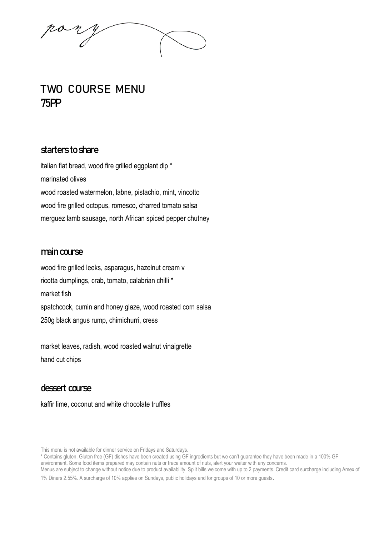# **TWO COURSE MENU** 75PP

## starters to share

italian flat bread, wood fire grilled eggplant dip \* marinated olives wood roasted watermelon, labne, pistachio, mint, vincotto wood fire grilled octopus, romesco, charred tomato salsa merguez lamb sausage, north African spiced pepper chutney

### main course

wood fire grilled leeks, asparagus, hazelnut cream v ricotta dumplings, crab, tomato, calabrian chilli \* market fish spatchcock, cumin and honey glaze, wood roasted corn salsa 250g black angus rump, chimichurri, cress

market leaves, radish, wood roasted walnut vinaigrette hand cut chips

# dessert course

kaffir lime, coconut and white chocolate truffles

This menu is not available for dinner service on Fridays and Saturdays.

<sup>\*</sup> Contains gluten. Gluten free (GF) dishes have been created using GF ingredients but we can't guarantee they have been made in a 100% GF environment. Some food items prepared may contain nuts or trace amount of nuts, alert your waiter with any concerns.

Menus are subject to change without notice due to product availability. Split bills welcome with up to 2 payments. Credit card surcharge including Amex of 1% Diners 2.55%. A surcharge of 10% applies on Sundays, public holidays and for groups of 10 or more guests.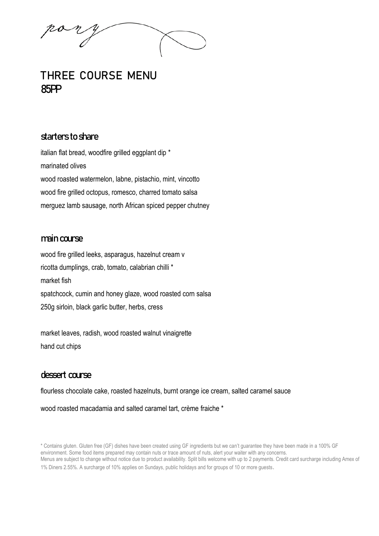no n

# THREE COURSE MENU 85PP

### starters to share

italian flat bread, woodfire grilled eggplant dip \* marinated olives wood roasted watermelon, labne, pistachio, mint, vincotto wood fire grilled octopus, romesco, charred tomato salsa merguez lamb sausage, north African spiced pepper chutney

#### main course

wood fire grilled leeks, asparagus, hazelnut cream v ricotta dumplings, crab, tomato, calabrian chilli \* market fish spatchcock, cumin and honey glaze, wood roasted corn salsa 250g sirloin, black garlic butter, herbs, cress

market leaves, radish, wood roasted walnut vinaigrette hand cut chips

# dessert course

flourless chocolate cake, roasted hazelnuts, burnt orange ice cream, salted caramel sauce

wood roasted macadamia and salted caramel tart, crème fraiche \*

<sup>\*</sup> Contains gluten. Gluten free (GF) dishes have been created using GF ingredients but we can't guarantee they have been made in a 100% GF environment. Some food items prepared may contain nuts or trace amount of nuts, alert your waiter with any concerns. Menus are subject to change without notice due to product availability. Split bills welcome with up to 2 payments. Credit card surcharge including Amex of 1% Diners 2.55%. A surcharge of 10% applies on Sundays, public holidays and for groups of 10 or more guests.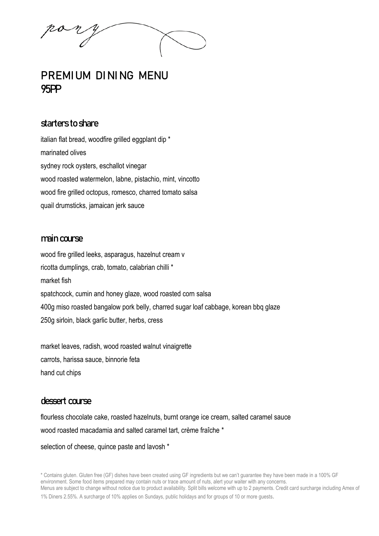# PREMIUM DINING MENU 95PP

# starters to share

italian flat bread, woodfire grilled eggplant dip \* marinated olives sydney rock oysters, eschallot vinegar wood roasted watermelon, labne, pistachio, mint, vincotto wood fire grilled octopus, romesco, charred tomato salsa quail drumsticks, jamaican jerk sauce

#### main course

wood fire grilled leeks, asparagus, hazelnut cream v ricotta dumplings, crab, tomato, calabrian chilli \* market fish spatchcock, cumin and honey glaze, wood roasted corn salsa 400g miso roasted bangalow pork belly, charred sugar loaf cabbage, korean bbq glaze 250g sirloin, black garlic butter, herbs, cress

market leaves, radish, wood roasted walnut vinaigrette carrots, harissa sauce, binnorie feta hand cut chips

#### dessert course

flourless chocolate cake, roasted hazelnuts, burnt orange ice cream, salted caramel sauce wood roasted macadamia and salted caramel tart, crème fraîche \*

selection of cheese, quince paste and lavosh \*

<sup>\*</sup> Contains gluten. Gluten free (GF) dishes have been created using GF ingredients but we can't guarantee they have been made in a 100% GF environment. Some food items prepared may contain nuts or trace amount of nuts, alert your waiter with any concerns. Menus are subject to change without notice due to product availability. Split bills welcome with up to 2 payments. Credit card surcharge including Amex of 1% Diners 2.55%. A surcharge of 10% applies on Sundays, public holidays and for groups of 10 or more guests.